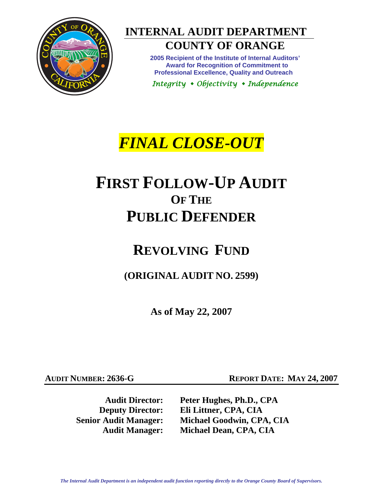

**INTERNAL AUDIT DEPARTMENT COUNTY OF ORANGE** 

> **2005 Recipient of the Institute of Internal Auditors' Award for Recognition of Commitment to Professional Excellence, Quality and Outreach**

*Integrity Objectivity Independence* 

# *FINAL CLOSE-OUT*

# **FIRST FOLLOW-UP AUDIT OF THE PUBLIC DEFENDER**

# **REVOLVING FUND**

**(ORIGINAL AUDIT NO. 2599)** 

**As of May 22, 2007** 

**AUDIT NUMBER: 2636-G REPORT DATE: MAY 24, 2007** 

**Audit Director: Peter Hughes, Ph.D., CPA Deputy Director: Eli Littner, CPA, CIA Senior Audit Manager: Michael Goodwin, CPA, CIA Audit Manager: Michael Dean, CPA, CIA**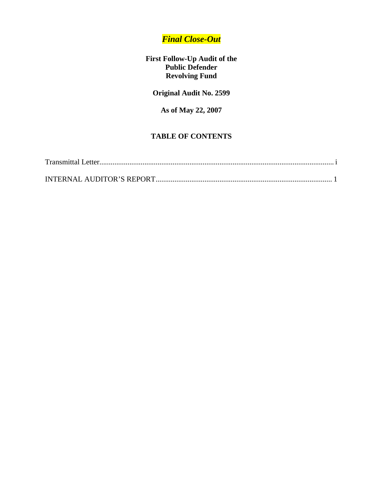### *Final Close-Out*

#### **First Follow-Up Audit of the Public Defender Revolving Fund**

### **Original Audit No. 2599**

#### **As of May 22, 2007**

#### **TABLE OF CONTENTS**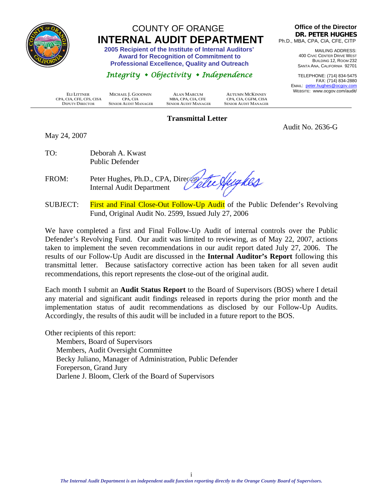<span id="page-2-0"></span>

## COUNTY OF ORANGE  **INTERNAL AUDIT DEPARTMENT 2005 Recipient of the Institute of Internal Auditors'**

 **Award for Recognition of Commitment to Professional Excellence, Quality and Outreach** 

### *Integrity Objectivity Independence*

**Office of the Director DR. PETER HUGHES** Ph.D., MBA, CPA, CIA, CFE, CITP

> MAILING ADDRESS: 400 CIVIC CENTER DRIVE WEST BUILDING 12, ROOM 232 SANTA ANA, CALIFORNIA 92701

TELEPHONE: (714) 834-5475 FAX: (714) 834-2880 EMAIL: peter.hughes@ocgov.com WEBSITE: www.ocgov.com/audit/

Audit No. 2636-G

 **ELI LITTNER MICHAEL J. GOODWIN ALAN MARCUM AUTUMN MCKINNEY CPA, CIA, CFE, CFS, CISA CPA, CIA MBA, CPA, CIA, CFE CPA, CIA, CGFM, CISA DEPUTY DIRECTOR SENIOR AUDIT MANAGER SENIOR AUDIT MANAGER SENIOR AUDIT MANAGER**

#### **Transmittal Letter**

May 24, 2007

TO: Deborah A. Kwast Public Defender

FROM: Peter Hughes, Ph.D., CPA, Directory Internal Audit Department

SUBJECT: First and Final Close-Out Follow-Up Audit of the Public Defender's Revolving Fund, Original Audit No. 2599, Issued July 27, 2006

We have completed a first and Final Follow-Up Audit of internal controls over the Public Defender's Revolving Fund. Our audit was limited to reviewing, as of May 22, 2007, actions taken to implement the seven recommendations in our audit report dated July 27, 2006. The results of our Follow-Up Audit are discussed in the **Internal Auditor's Report** following this transmittal letter. Because satisfactory corrective action has been taken for all seven audit recommendations, this report represents the close-out of the original audit.

Each month I submit an **Audit Status Report** to the Board of Supervisors (BOS) where I detail any material and significant audit findings released in reports during the prior month and the implementation status of audit recommendations as disclosed by our Follow-Up Audits. Accordingly, the results of this audit will be included in a future report to the BOS.

Other recipients of this report:

Members, Board of Supervisors Members, Audit Oversight Committee Becky Juliano, Manager of Administration, Public Defender Foreperson, Grand Jury Darlene J. Bloom, Clerk of the Board of Supervisors